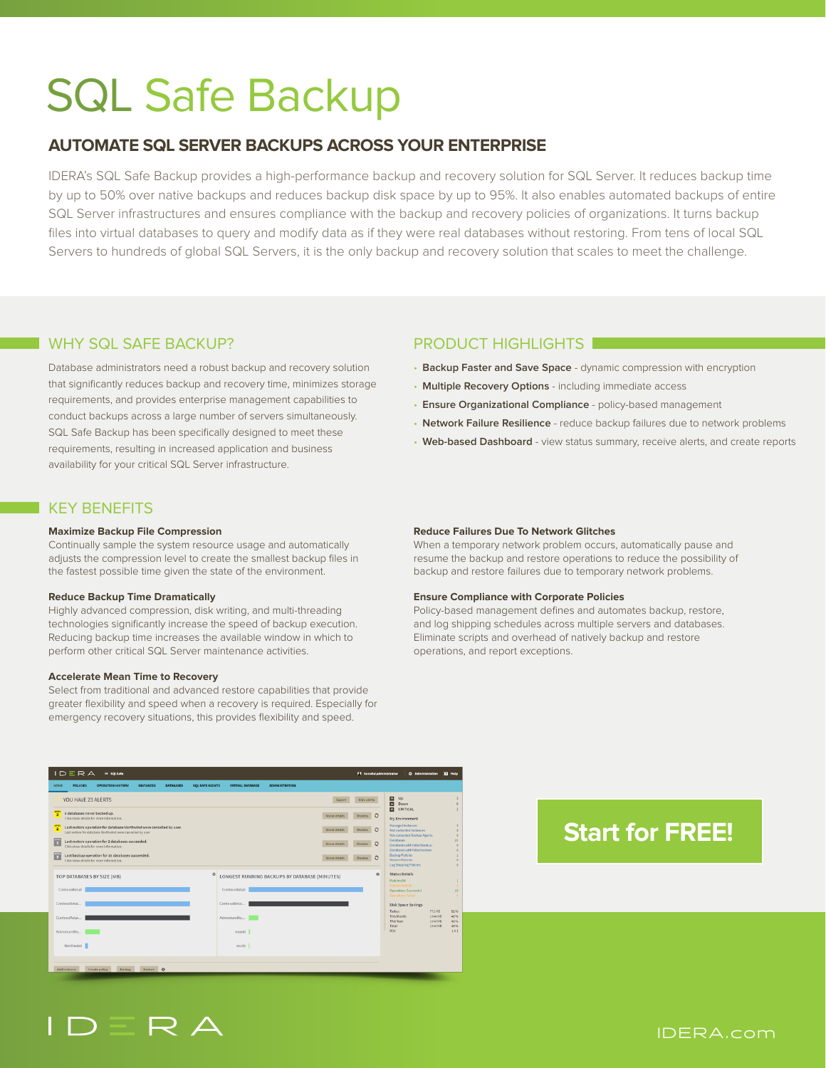# SQL Safe Backup

# **AUTOMATE SQL SERVER BACKUPS ACROSS YOUR ENTERPRISE**

IDERA's SQL Safe Backup provides a high-performance backup and recovery solution for SQL Server. It reduces backup time by up to 50% over native backups and reduces backup disk space by up to 95%. It also enables automated backups of entire SQL Server infrastructures and ensures compliance with the backup and recovery policies of organizations. It turns backup files into virtual databases to query and modify data as if they were real databases without restoring. From tens of local SQL Servers to hundreds of global SQL Servers, it is the only backup and recovery solution that scales to meet the challenge.

# WHY SOL SAFE BACKUP? PRODUCT HIGHLIGHTS

Database administrators need a robust backup and recovery solution that significantly reduces backup and recovery time, minimizes storage requirements, and provides enterprise management capabilities to conduct backups across a large number of servers simultaneously. SQL Safe Backup has been specifically designed to meet these requirements, resulting in increased application and business availability for your critical SQL Server infrastructure.

# KEY BENEFITS

### **Maximize Backup File Compression**

Continually sample the system resource usage and automatically adjusts the compression level to create the smallest backup files in the fastest possible time given the state of the environment.

### **Reduce Backup Time Dramatically**

Highly advanced compression, disk writing, and multi-threading technologies significantly increase the speed of backup execution. Reducing backup time increases the available window in which to perform other critical SQL Server maintenance activities.

### **Accelerate Mean Time to Recovery**

Select from traditional and advanced restore capabilities that provide greater flexibility and speed when a recovery is required. Especially for emergency recovery situations, this provides flexibility and speed.

- **Backup Faster and Save Space** dynamic compression with encryption
- **Multiple Recovery Options** including immediate access
- **Ensure Organizational Compliance** policy-based management
- **Network Failure Resilience** reduce backup failures due to network problems
- **Web-based Dashboard** view status summary, receive alerts, and create reports

### **Reduce Failures Due To Network Glitches**

When a temporary network problem occurs, automatically pause and resume the backup and restore operations to reduce the possibility of backup and restore failures due to temporary network problems.

### **Ensure Compliance with Corporate Policies**

Policy-based management defines and automates backup, restore, and log shipping schedules across multiple servers and databases. Eliminate scripts and overhead of natively backup and restore operations, and report exceptions.

| IDERA<br>$\equiv$ SOLSafe                                                                                                                                              |                                                           | F4 konoha\administrator<br><b>El Nelo</b><br><b>O</b> Administration                                                                   |
|------------------------------------------------------------------------------------------------------------------------------------------------------------------------|-----------------------------------------------------------|----------------------------------------------------------------------------------------------------------------------------------------|
| <b>SQL SAFE AGENTS</b><br><b>POLICIES</b><br><b>OPERATION HISTORY</b><br><b>INSTANCES</b><br><b>DATABASES</b><br><b>HOME</b>                                           | <b>VIRTUAL DATABASE</b><br><b>ADMINISTRATION</b>          |                                                                                                                                        |
| YOU HAVE 23 ALERTS                                                                                                                                                     | Export                                                    | $\blacksquare$<br>Up<br>$\overline{a}$<br>Hide alerts<br>ø<br>$\circ$<br>Down<br>$\overline{\mathbf{a}}$<br>CRITICAL<br>$\mathfrak{D}$ |
| 5 databases never backed up.<br>$\overline{2}$<br>Click show details for more information.                                                                             | Show details                                              | Dismiss $\Omega$<br>My Environment                                                                                                     |
| <b>LEVEL</b><br>Last restore operation for database Northwind were cancelled by user.<br>$\overline{2}$<br>Last restore for database Northwind were cancelled by user. | Show details                                              | Managed Instances<br>$\mathcal{R}$<br>Dismiss C<br>Not-contacted Instances<br>$\circ$<br>Not-contacted Backup Agents<br>$\alpha$       |
| Last restore operation for 2 databases succeeded.<br>$\overline{\mathbf{3}}$<br>Click show details for more information.                                               | Show details                                              | <b>Databases</b><br>21<br>Dismiss C<br>Databases with failed backup<br>$\circ$<br>Databases with failed restore<br>$\circ$             |
| Last backup operation for 15 databases succeeded.<br>$\overline{\mathbf{3}}$<br>Click show details for more information.                                               | Show details                                              | <b>Backup Policies</b><br>Dismiss C<br><b>Restore Policies</b><br>$\circ$<br>Log Shlooling Policies<br>$\alpha$                        |
| TOP DATABASES BY SIZE (MB)                                                                                                                                             | ۰<br><b>LONGEST RUNNING BACKUPS BY DATABASE (MINUTES)</b> | <b>Status Details</b><br>۰<br>Policies OK<br>Ŧ.                                                                                        |
| ContosoRetail                                                                                                                                                          | ContosoRetail                                             | <b>Policies Not OK</b><br>$\alpha$<br><b>Operations Successful</b><br>15<br>Operations Falled<br>$\circ$                               |
| ContosoRetai                                                                                                                                                           | ContosoRetai                                              | <b>Disk Space Savings</b><br>Today:                                                                                                    |
| ContosoRetai                                                                                                                                                           | AdventureWo                                               | 772 MB<br>51%<br>This Month:<br>1944 MB<br>48%<br>This Year:<br>1944 MB<br>48.%                                                        |
| AdventureWo                                                                                                                                                            | model                                                     | Total:<br>1944 MR<br>48%<br>ROL<br>1.95                                                                                                |
| Northwind                                                                                                                                                              | msdb                                                      |                                                                                                                                        |
|                                                                                                                                                                        |                                                           |                                                                                                                                        |
| Restore O<br><b>Rackup</b><br>Add instance<br>Create policy                                                                                                            |                                                           |                                                                                                                                        |

# **[Start for FREE!](https://www.idera.com/productssolutions/sqlserver/sqlsafebackup/freetrialsubscriptionform?utm_medium=inasset&utm_content=pdf&utm_source=datasheet&utm_campaign=sqlsafebackup)**